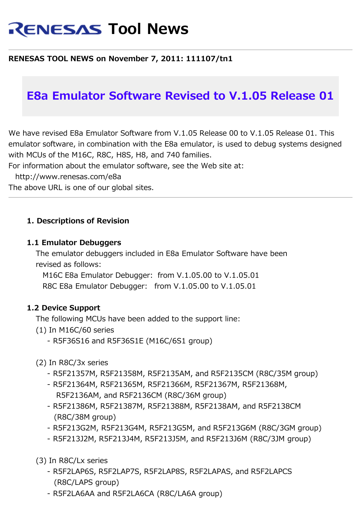# **RENESAS Tool News**

### **RENESAS TOOL NEWS on November 7, 2011: 111107/tn1**

## **E8a Emulator Software Revised to V.1.05 Release 01**

We have revised E8a Emulator Software from V.1.05 Release 00 to V.1.05 Release 01. This emulator software, in combination with the E8a emulator, is used to debug systems designed with MCUs of the M16C, R8C, H8S, H8, and 740 families.

For information about the emulator software, see the Web site at:

http://www.renesas.com/e8a

The above URL is one of our global sites.

#### **1. Descriptions of Revision**

#### **1.1 Emulator Debuggers**

 The emulator debuggers included in E8a Emulator Software have been revised as follows:

 M16C E8a Emulator Debugger: from V.1.05.00 to V.1.05.01 R8C E8a Emulator Debugger: from V.1.05.00 to V.1.05.01

#### **1.2 Device Support**

The following MCUs have been added to the support line:

- (1) In M16C/60 series
	- R5F36S16 and R5F36S1E (M16C/6S1 group)
- (2) In R8C/3x series
	- R5F21357M, R5F21358M, R5F2135AM, and R5F2135CM (R8C/35M group)
	- R5F21364M, R5F21365M, R5F21366M, R5F21367M, R5F21368M, R5F2136AM, and R5F2136CM (R8C/36M group)
	- R5F21386M, R5F21387M, R5F21388M, R5F2138AM, and R5F2138CM (R8C/38M group)
	- R5F213G2M, R5F213G4M, R5F213G5M, and R5F213G6M (R8C/3GM group)
	- R5F213J2M, R5F213J4M, R5F213J5M, and R5F213J6M (R8C/3JM group)

(3) In R8C/Lx series

- R5F2LAP6S, R5F2LAP7S, R5F2LAP8S, R5F2LAPAS, and R5F2LAPCS (R8C/LAPS group)
- R5F2LA6AA and R5F2LA6CA (R8C/LA6A group)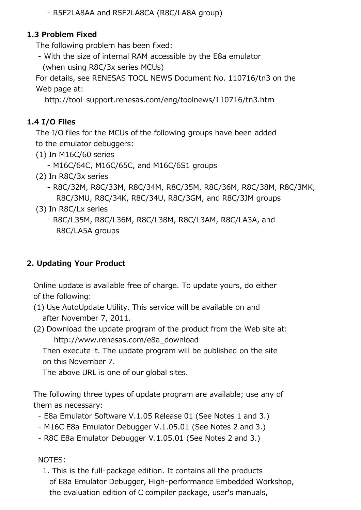- R5F2LA8AA and R5F2LA8CA (R8C/LA8A group)

## **1.3 Problem Fixed**

The following problem has been fixed:

 - With the size of internal RAM accessible by the E8a emulator (when using R8C/3x series MCUs)

 For details, see RENESAS TOOL NEWS Document No. 110716/tn3 on the Web page at:

http://tool-support.renesas.com/eng/toolnews/110716/tn3.htm

## **1.4 I/O Files**

 The I/O files for the MCUs of the following groups have been added to the emulator debuggers:

- (1) In M16C/60 series
	- M16C/64C, M16C/65C, and M16C/6S1 groups
- (2) In R8C/3x series
	- R8C/32M, R8C/33M, R8C/34M, R8C/35M, R8C/36M, R8C/38M, R8C/3MK, R8C/3MU, R8C/34K, R8C/34U, R8C/3GM, and R8C/3JM groups
- (3) In R8C/Lx series
	- R8C/L35M, R8C/L36M, R8C/L38M, R8C/L3AM, R8C/LA3A, and R8C/LA5A groups

## **2. Updating Your Product**

 Online update is available free of charge. To update yours, do either of the following:

- (1) Use AutoUpdate Utility. This service will be available on and after November 7, 2011.
- (2) Download the update program of the product from the Web site at: http://www.renesas.com/e8a\_download

 Then execute it. The update program will be published on the site on this November 7.

The above URL is one of our global sites.

 The following three types of update program are available; use any of them as necessary:

- E8a Emulator Software V.1.05 Release 01 (See Notes 1 and 3.)
- M16C E8a Emulator Debugger V.1.05.01 (See Notes 2 and 3.)
- R8C E8a Emulator Debugger V.1.05.01 (See Notes 2 and 3.)

### NOTES:

 1. This is the full-package edition. It contains all the products of E8a Emulator Debugger, High-performance Embedded Workshop, the evaluation edition of C compiler package, user's manuals,